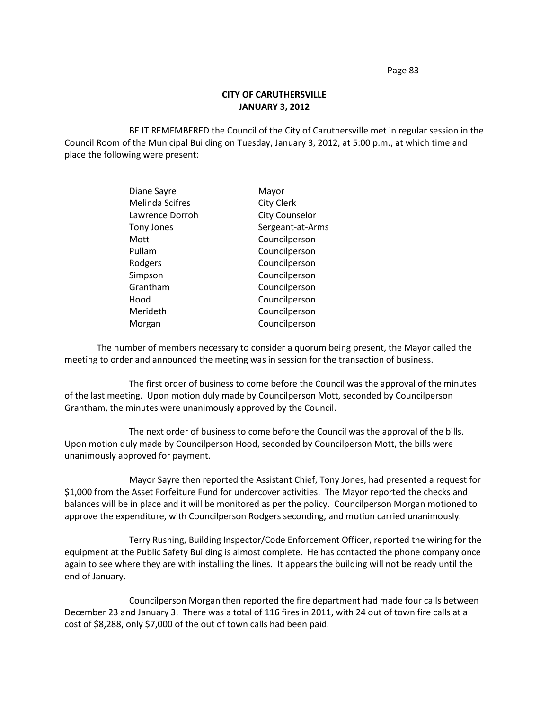Page 83

## **CITY OF CARUTHERSVILLE JANUARY 3, 2012**

BE IT REMEMBERED the Council of the City of Caruthersville met in regular session in the Council Room of the Municipal Building on Tuesday, January 3, 2012, at 5:00 p.m., at which time and place the following were present:

| Diane Sayre            | Mayor                 |
|------------------------|-----------------------|
| <b>Melinda Scifres</b> | <b>City Clerk</b>     |
| Lawrence Dorroh        | <b>City Counselor</b> |
| Tony Jones             | Sergeant-at-Arms      |
| Mott                   | Councilperson         |
| Pullam                 | Councilperson         |
| Rodgers                | Councilperson         |
| Simpson                | Councilperson         |
| Grantham               | Councilperson         |
| Hood                   | Councilperson         |
| Merideth               | Councilperson         |
| Morgan                 | Councilperson         |
|                        |                       |

The number of members necessary to consider a quorum being present, the Mayor called the meeting to order and announced the meeting was in session for the transaction of business.

The first order of business to come before the Council was the approval of the minutes of the last meeting. Upon motion duly made by Councilperson Mott, seconded by Councilperson Grantham, the minutes were unanimously approved by the Council.

The next order of business to come before the Council was the approval of the bills. Upon motion duly made by Councilperson Hood, seconded by Councilperson Mott, the bills were unanimously approved for payment.

Mayor Sayre then reported the Assistant Chief, Tony Jones, had presented a request for \$1,000 from the Asset Forfeiture Fund for undercover activities. The Mayor reported the checks and balances will be in place and it will be monitored as per the policy. Councilperson Morgan motioned to approve the expenditure, with Councilperson Rodgers seconding, and motion carried unanimously.

Terry Rushing, Building Inspector/Code Enforcement Officer, reported the wiring for the equipment at the Public Safety Building is almost complete. He has contacted the phone company once again to see where they are with installing the lines. It appears the building will not be ready until the end of January.

Councilperson Morgan then reported the fire department had made four calls between December 23 and January 3. There was a total of 116 fires in 2011, with 24 out of town fire calls at a cost of \$8,288, only \$7,000 of the out of town calls had been paid.